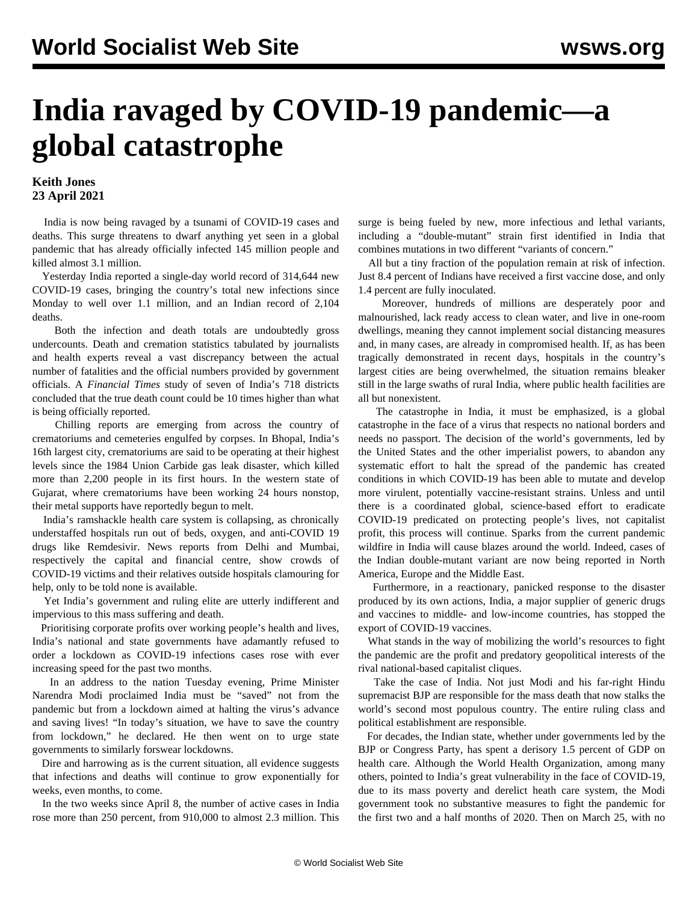## **India ravaged by COVID-19 pandemic—a global catastrophe**

## **Keith Jones 23 April 2021**

 India is now being ravaged by a tsunami of COVID-19 cases and deaths. This surge threatens to dwarf anything yet seen in a global pandemic that has already officially infected 145 million people and killed almost 3.1 million.

 Yesterday India reported a single-day world record of 314,644 new COVID-19 cases, bringing the country's total new infections since Monday to well over 1.1 million, and an Indian record of 2,104 deaths.

 Both the infection and death totals are undoubtedly gross undercounts. Death and cremation statistics tabulated by journalists and health experts reveal a vast discrepancy between the actual number of fatalities and the official numbers provided by government officials. A *Financial Times* study of seven of India's 718 districts concluded that the true death count could be 10 times higher than what is being officially reported.

 Chilling reports are emerging from across the country of crematoriums and cemeteries engulfed by corpses. In Bhopal, India's 16th largest city, crematoriums are said to be operating at their highest levels since the 1984 Union Carbide gas leak disaster, which killed more than 2,200 people in its first hours. In the western state of Gujarat, where crematoriums have been working 24 hours nonstop, their metal supports have reportedly begun to melt.

 India's ramshackle health care system is collapsing, as chronically understaffed hospitals run out of beds, oxygen, and anti-COVID 19 drugs like Remdesivir. News reports from Delhi and Mumbai, respectively the capital and financial centre, show crowds of COVID-19 victims and their relatives outside hospitals clamouring for help, only to be told none is available.

 Yet India's government and ruling elite are utterly indifferent and impervious to this mass suffering and death.

 Prioritising corporate profits over working people's health and lives, India's national and state governments have adamantly refused to order a lockdown as COVID-19 infections cases rose with ever increasing speed for the past two months.

 In an address to the nation Tuesday evening, Prime Minister Narendra Modi proclaimed India must be "saved" not from the pandemic but from a lockdown aimed at halting the virus's advance and saving lives! "In today's situation, we have to save the country from lockdown," he declared. He then went on to urge state governments to similarly forswear lockdowns.

 Dire and harrowing as is the current situation, all evidence suggests that infections and deaths will continue to grow exponentially for weeks, even months, to come.

 In the two weeks since April 8, the number of active cases in India rose more than 250 percent, from 910,000 to almost 2.3 million. This surge is being fueled by new, more infectious and lethal variants, including a "double-mutant" strain first identified in India that combines mutations in two different "variants of concern."

 All but a tiny fraction of the population remain at risk of infection. Just 8.4 percent of Indians have received a first vaccine dose, and only 1.4 percent are fully inoculated.

 Moreover, hundreds of millions are desperately poor and malnourished, lack ready access to clean water, and live in one-room dwellings, meaning they cannot implement social distancing measures and, in many cases, are already in compromised health. If, as has been tragically demonstrated in recent days, hospitals in the country's largest cities are being overwhelmed, the situation remains bleaker still in the large swaths of rural India, where public health facilities are all but nonexistent.

 The catastrophe in India, it must be emphasized, is a global catastrophe in the face of a virus that respects no national borders and needs no passport. The decision of the world's governments, led by the United States and the other imperialist powers, to abandon any systematic effort to halt the spread of the pandemic has created conditions in which COVID-19 has been able to mutate and develop more virulent, potentially vaccine-resistant strains. Unless and until there is a coordinated global, science-based effort to eradicate COVID-19 predicated on protecting people's lives, not capitalist profit, this process will continue. Sparks from the current pandemic wildfire in India will cause blazes around the world. Indeed, cases of the Indian double-mutant variant are now being reported in North America, Europe and the Middle East.

 Furthermore, in a reactionary, panicked response to the disaster produced by its own actions, India, a major supplier of generic drugs and vaccines to middle- and low-income countries, has stopped the export of COVID-19 vaccines.

 What stands in the way of mobilizing the world's resources to fight the pandemic are the profit and predatory geopolitical interests of the rival national-based capitalist cliques.

 Take the case of India. Not just Modi and his far-right Hindu supremacist BJP are responsible for the mass death that now stalks the world's second most populous country. The entire ruling class and political establishment are responsible.

 For decades, the Indian state, whether under governments led by the BJP or Congress Party, has spent a derisory 1.5 percent of GDP on health care. Although the World Health Organization, among many others, pointed to India's great vulnerability in the face of COVID-19, due to its mass poverty and derelict heath care system, the Modi government took no substantive measures to fight the pandemic for the first two and a half months of 2020. Then on March 25, with no